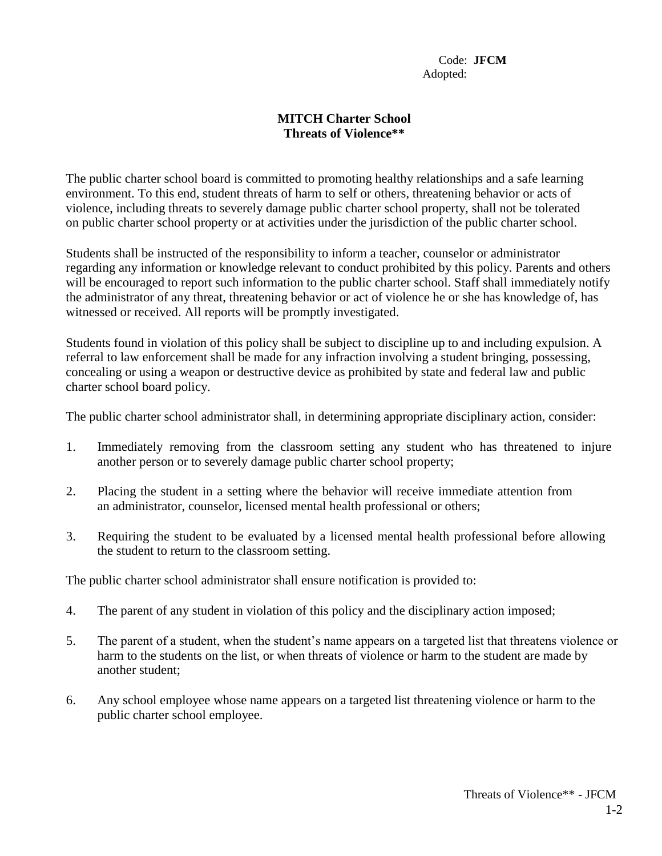Code: **JFCM** Adopted:

## **MITCH Charter School Threats of Violence\*\***

The public charter school board is committed to promoting healthy relationships and a safe learning environment. To this end, student threats of harm to self or others, threatening behavior or acts of violence, including threats to severely damage public charter school property, shall not be tolerated on public charter school property or at activities under the jurisdiction of the public charter school.

Students shall be instructed of the responsibility to inform a teacher, counselor or administrator regarding any information or knowledge relevant to conduct prohibited by this policy. Parents and others will be encouraged to report such information to the public charter school. Staff shall immediately notify the administrator of any threat, threatening behavior or act of violence he or she has knowledge of, has witnessed or received. All reports will be promptly investigated.

Students found in violation of this policy shall be subject to discipline up to and including expulsion. A referral to law enforcement shall be made for any infraction involving a student bringing, possessing, concealing or using a weapon or destructive device as prohibited by state and federal law and public charter school board policy.

The public charter school administrator shall, in determining appropriate disciplinary action, consider:

- 1. Immediately removing from the classroom setting any student who has threatened to injure another person or to severely damage public charter school property;
- 2. Placing the student in a setting where the behavior will receive immediate attention from an administrator, counselor, licensed mental health professional or others;
- 3. Requiring the student to be evaluated by a licensed mental health professional before allowing the student to return to the classroom setting.

The public charter school administrator shall ensure notification is provided to:

- 4. The parent of any student in violation of this policy and the disciplinary action imposed;
- 5. The parent of a student, when the student's name appears on a targeted list that threatens violence or harm to the students on the list, or when threats of violence or harm to the student are made by another student;
- 6. Any school employee whose name appears on a targeted list threatening violence or harm to the public charter school employee.